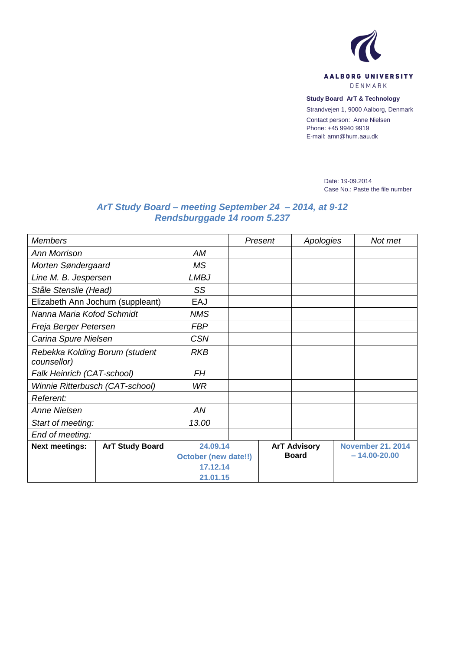

**Study Board ArT & Technology**

Strandvejen 1, 9000 Aalborg, Denmark

Contact person: Anne Nielsen Phone: +45 9940 9919 E-mail: amn@hum.aau.dk

> Date: 19-09.2014 Case No.: Paste the file number

## *ArT Study Board – meeting September 24 – 2014, at 9-12 Rendsburggade 14 room 5.237*

| <b>Members</b>                                |                        |                                         |  | Present             | Apologies |                          | Not met |  |
|-----------------------------------------------|------------------------|-----------------------------------------|--|---------------------|-----------|--------------------------|---------|--|
| <b>Ann Morrison</b>                           |                        | AM                                      |  |                     |           |                          |         |  |
| Morten Søndergaard                            |                        | <b>MS</b>                               |  |                     |           |                          |         |  |
| Line M. B. Jespersen                          |                        | <b>LMBJ</b>                             |  |                     |           |                          |         |  |
| Ståle Stenslie (Head)                         |                        | SS                                      |  |                     |           |                          |         |  |
| Elizabeth Ann Jochum (suppleant)              |                        | EAJ                                     |  |                     |           |                          |         |  |
| Nanna Maria Kofod Schmidt                     |                        | <b>NMS</b>                              |  |                     |           |                          |         |  |
| Freja Berger Petersen                         |                        | <b>FBP</b>                              |  |                     |           |                          |         |  |
| Carina Spure Nielsen                          |                        | <b>CSN</b>                              |  |                     |           |                          |         |  |
| Rebekka Kolding Borum (student<br>counsellor) |                        | <b>RKB</b>                              |  |                     |           |                          |         |  |
| Falk Heinrich (CAT-school)                    |                        | <b>FH</b>                               |  |                     |           |                          |         |  |
| Winnie Ritterbusch (CAT-school)               |                        | <b>WR</b>                               |  |                     |           |                          |         |  |
| Referent:                                     |                        |                                         |  |                     |           |                          |         |  |
| Anne Nielsen                                  |                        | AN                                      |  |                     |           |                          |         |  |
| Start of meeting:                             |                        | 13.00                                   |  |                     |           |                          |         |  |
| End of meeting:                               |                        |                                         |  |                     |           |                          |         |  |
| <b>Next meetings:</b>                         | <b>ArT Study Board</b> | 24.09.14                                |  | <b>ArT Advisory</b> |           | <b>November 21. 2014</b> |         |  |
|                                               |                        | <b>October (new date!!)</b><br>17.12.14 |  | <b>Board</b>        |           | $-14.00 - 20.00$         |         |  |
|                                               |                        |                                         |  |                     |           |                          |         |  |
|                                               |                        | 21.01.15                                |  |                     |           |                          |         |  |